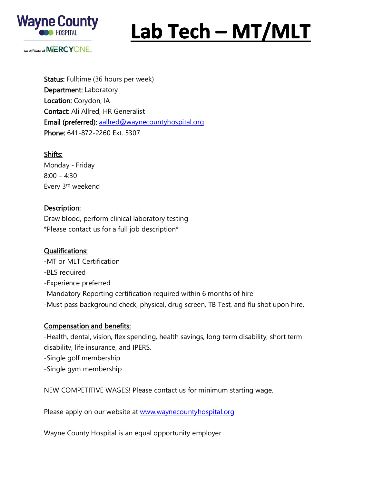

# Lab Tech - MT/MLT

An Affiliate of **MERCYONE** 

Status: Fulltime (36 hours per week) Department: Laboratory Location: Corydon, IA Contact: Ali Allred, HR Generalist Email (preferred): [aallred@waynecountyhospital.org](mailto:aallred@waynecountyhospital.org) Phone: 641-872-2260 Ext. 5307

#### Shifts:

Monday - Friday  $8:00 - 4:30$ Every 3rd weekend

### Description:

Draw blood, perform clinical laboratory testing \*Please contact us for a full job description\*

#### Qualifications:

-MT or MLT Certification

-BLS required

-Experience preferred

- -Mandatory Reporting certification required within 6 months of hire
- -Must pass background check, physical, drug screen, TB Test, and flu shot upon hire.

## Compensation and benefits:

-Health, dental, vision, flex spending, health savings, long term disability, short term disability, life insurance, and IPERS.

-Single golf membership

-Single gym membership

NEW COMPETITIVE WAGES! Please contact us for minimum starting wage.

Please apply on our website at [www.waynecountyhospital.org](http://www.waynecountyhospital.org/)

Wayne County Hospital is an equal opportunity employer.